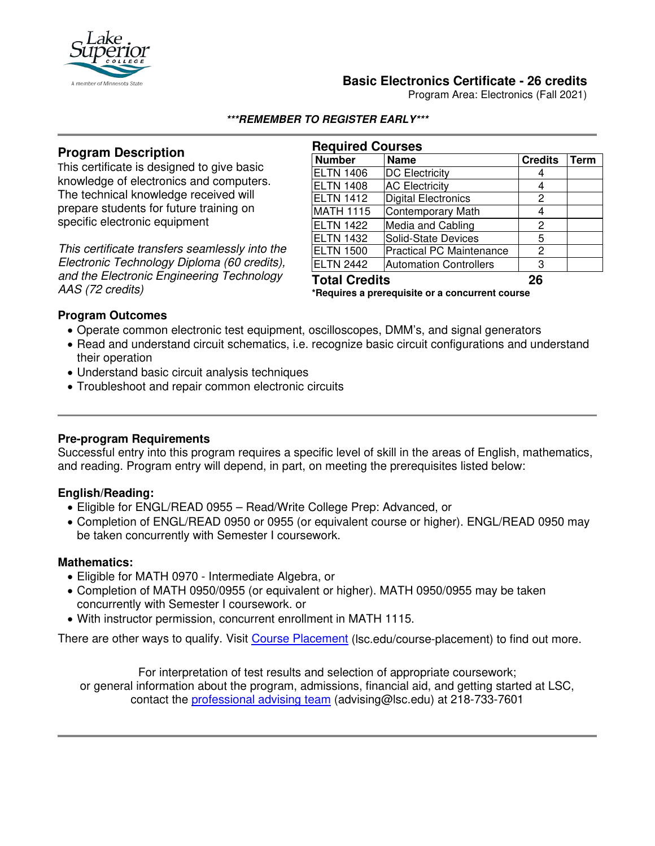

## **Basic Electronics Certificate - 26 credits**

Program Area: Electronics (Fall 2021)

#### **\*\*\*REMEMBER TO REGISTER EARLY\*\*\***

# **Program Description**

This certificate is designed to give basic knowledge of electronics and computers. The technical knowledge received will prepare students for future training on specific electronic equipment

*This certificate transfers seamlessly into the Electronic Technology Diploma (60 credits), and the Electronic Engineering Technology AAS (72 credits)*

| <b>Required Courses</b>                         |                                 |                |      |
|-------------------------------------------------|---------------------------------|----------------|------|
| <b>Number</b>                                   | <b>Name</b>                     | <b>Credits</b> | Term |
| <b>ELTN 1406</b>                                | <b>DC Electricity</b>           | 4              |      |
| <b>ELTN 1408</b>                                | <b>AC Electricity</b>           | 4              |      |
| <b>ELTN 1412</b>                                | Digital Electronics             | 2              |      |
| <b>MATH 1115</b>                                | Contemporary Math               | 4              |      |
| <b>ELTN 1422</b>                                | Media and Cabling               | 2              |      |
| <b>ELTN 1432</b>                                | Solid-State Devices             | 5              |      |
| <b>ELTN 1500</b>                                | <b>Practical PC Maintenance</b> | 2              |      |
| <b>ELTN 2442</b>                                | Automation Controllers          | 3              |      |
| <b>Total Credits</b>                            |                                 | 26             |      |
| *Requires a prerequisite or a concurrent course |                                 |                |      |

#### **Program Outcomes**

- Operate common electronic test equipment, oscilloscopes, DMM's, and signal generators
- Read and understand circuit schematics, i.e. recognize basic circuit configurations and understand their operation
- Understand basic circuit analysis techniques
- Troubleshoot and repair common electronic circuits

#### **Pre-program Requirements**

Successful entry into this program requires a specific level of skill in the areas of English, mathematics, and reading. Program entry will depend, in part, on meeting the prerequisites listed below:

## **English/Reading:**

- Eligible for ENGL/READ 0955 Read/Write College Prep: Advanced, or
- Completion of ENGL/READ 0950 or 0955 (or equivalent course or higher). ENGL/READ 0950 may be taken concurrently with Semester I coursework.

#### **Mathematics:**

- Eligible for MATH 0970 Intermediate Algebra, or
- Completion of MATH 0950/0955 (or equivalent or higher). MATH 0950/0955 may be taken concurrently with Semester I coursework. or
- With instructor permission, concurrent enrollment in MATH 1115.

There are other ways to qualify. Visit [Course Placement](https://www.lsc.edu/course-placement/) (Isc.edu/course-placement) to find out more.

For interpretation of test results and selection of appropriate coursework; or general information about the program, admissions, financial aid, and getting started at LSC, contact the [professional advising team](mailto:advising@lsc.edu) (advising@lsc.edu) at 218-733-7601